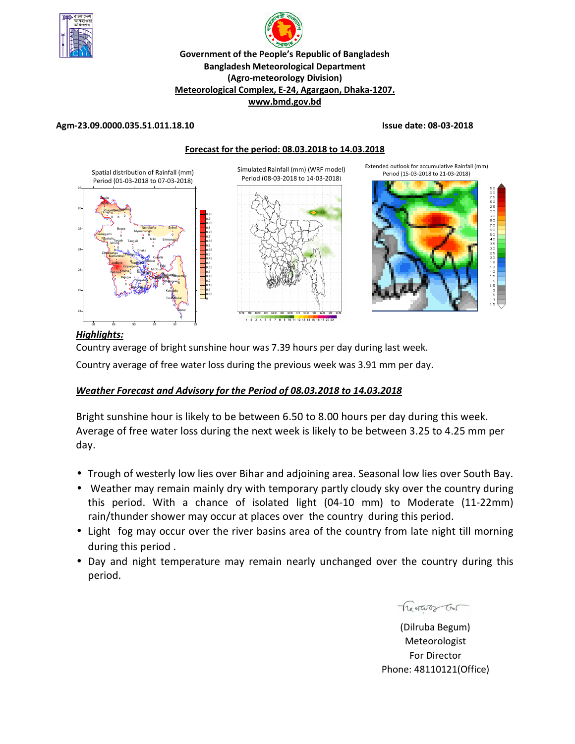



# **Agm-23.09.0000.035.51.011.18.10 Issue date: 08-03-2018**





# *Highlights:*

Country average of bright sunshine hour was 7.39 hours per day during last week.

Country average of free water loss during the previous week was 3.91 mm per day.

# *Weather Forecast and Advisory for the Period of 08.03.2018 to 14.03.2018*

Bright sunshine hour is likely to be between 6.50 to 8.00 hours per day during this week. Average of free water loss during the next week is likely to be between 3.25 to 4.25 mm per day.

- Trough of westerly low lies over Bihar and adjoining area. Seasonal low lies over South Bay.
- Weather may remain mainly dry with temporary partly cloudy sky over the country during this period. With a chance of isolated light (04-10 mm) to Moderate (11-22mm) rain/thunder shower may occur at places over the country during this period.
- Light fog may occur over the river basins area of the country from late night till morning during this period .
- Day and night temperature may remain nearly unchanged over the country during this period.

 Treatures Con

(Dilruba Begum) Meteorologist For Director Phone: 48110121(Office)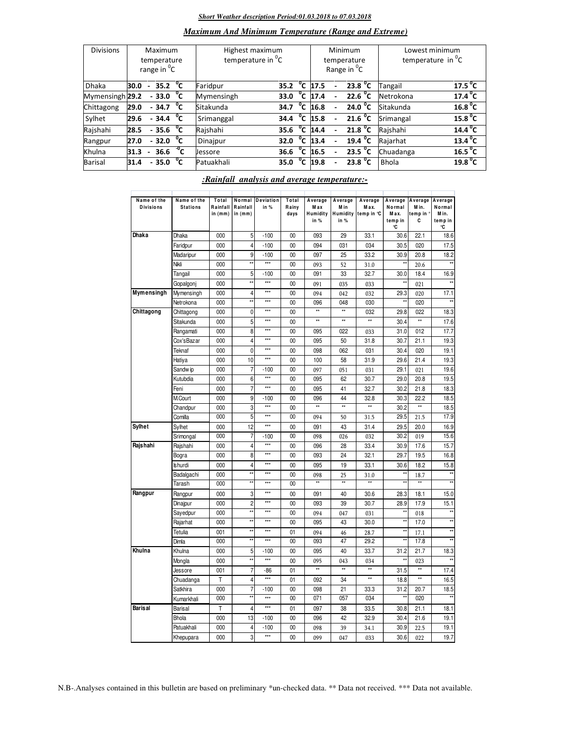### *Short Weather description Period:01.03.2018 to 07.03.2018*

# *Maximum And Minimum Temperature (Range and Extreme)*

| <b>Divisions</b> | Maximum<br>temperature<br>range in <sup>o</sup> C |                          |                     |    | Highest maximum<br>temperature in <sup>"</sup> C |      |                             |                       | Minimum<br>temperature<br>Range in <sup>o</sup> C | Lowest minimum<br>temperature in $^{\circ}$ C |                     |  |
|------------------|---------------------------------------------------|--------------------------|---------------------|----|--------------------------------------------------|------|-----------------------------|-----------------------|---------------------------------------------------|-----------------------------------------------|---------------------|--|
| <b>Dhaka</b>     | 30.0                                              | $\sim$                   | 35.2 $\degree$ C    |    | Faridpur                                         | 35.2 | °c                          | 17.5                  | 23.8 $^{\circ}$ C                                 | Tangail                                       | 17.5 <sup>0</sup> C |  |
| Mymensingh 29.2  |                                                   |                          | $-33.0 °C$          |    | Mymensingh                                       | 33.0 | °c                          | 17.4                  | 22.6 $^{\circ}$ C                                 | Netrokona                                     | $17.4\degree$ C     |  |
| Chittagong       | 29.0                                              |                          | $-34.7$ $\degree$ C |    | Sitakunda                                        | 34.7 | °C                          | 16.8                  | 24.0 $^{\circ}$ C                                 | Sitakunda                                     | 16.8 <sup>0</sup> C |  |
| Sylhet           | 29.6                                              |                          | $-34.4\degree$ C    |    | Srimanggal                                       | 34.4 |                             | $\overline{^0C}$ 15.8 | 21.6 $^{\circ}$ C                                 | Srimangal                                     | $15.8\text{ }^0C$   |  |
| Rajshahi         | 28.5                                              |                          | $-35.6oC$           |    | Rajshahi                                         | 35.6 | $^{\circ}$ c $\overline{c}$ | 14.4                  | 21.8 $^{\circ}$ C                                 | Rajshahi                                      | $14.4^{\circ}$ C    |  |
| Rangpur          | 27.0                                              |                          | $-32.0\degree$ C    |    | Dinajpur                                         | 32.0 | °C                          | 13.4                  | $19.4 \text{ °C}$                                 | Rajarhat                                      | $13.4^{\circ}$ C    |  |
| Khulna           | 31.3                                              | $\overline{\phantom{0}}$ | 36.6 $\sqrt[10]{C}$ |    | Jessore                                          | 36.6 | °c                          | 16.5                  | 23.5 $\overline{C}$                               | Chuadanga                                     | 16.5 <sup>0</sup> C |  |
| Barisal          | 31.4                                              |                          | $-35.0$             | °c | Patuakhali                                       | 35.0 | $^0$ C                      | 19.8                  | 23.8 $^{\circ}$ C                                 | <b>Bhola</b>                                  | 19.8 <sup>0</sup> C |  |

### *:Rainfall analysis and average temperature:-*

| Name of the<br><b>Divisions</b> | Name of the<br><b>Stations</b> | Total<br>Rainfall<br>in (mm) | Normal<br>Rainfall<br>in (mm) | <b>Deviation</b><br>in % | Total<br>Rainy<br>days | Average<br>M ax<br>Humidity<br>in $%$ | Average<br>M in<br>Humidity<br>in % | Average<br>M ax.<br>temp in °C | Average<br>Normal<br>Max.<br>temp in<br>۹C | Average<br>M in.<br>temp in '<br>C | Average<br>Normal<br>Min.<br>temp in<br>°C |
|---------------------------------|--------------------------------|------------------------------|-------------------------------|--------------------------|------------------------|---------------------------------------|-------------------------------------|--------------------------------|--------------------------------------------|------------------------------------|--------------------------------------------|
| <b>Dhaka</b>                    | Dhaka                          | 000                          | 5                             | $-100$                   | 00                     | 093                                   | 29                                  | 33.1                           | 30.6                                       | 22.1                               | 18.6                                       |
|                                 | Faridpur                       | 000                          | $\overline{4}$                | $-100$                   | 00                     | 094                                   | 031                                 | 034                            | 30.5                                       | 020                                | 17.5                                       |
|                                 | Madaripur                      | 000                          | 9                             | $-100$                   | 00                     | 097                                   | 25                                  | 33.2                           | 30.9                                       | 20.8                               | 18.2                                       |
|                                 | Nikli                          | 000                          | $\overline{1}$                | $***$                    | 00                     | 093                                   | 52                                  | 31.0                           | ×۶                                         | 20.6                               | $\star$                                    |
|                                 | Tangail                        | 000                          | 5                             | $-100$                   | 00                     | 091                                   | 33                                  | 32.7                           | 30.0                                       | 18.4                               | 16.9                                       |
|                                 | Gopalgonj                      | 000                          | $\star\star$                  | $***$                    | 0 <sub>0</sub>         | 091                                   | 035                                 | 033                            | *,                                         | 021                                |                                            |
| Mymensingh                      | Mymensingh                     | 000                          | $\overline{4}$                | $\star\star\star$        | 00                     | 094                                   | 042                                 | 032                            | 29.3                                       | 020                                | 17.1                                       |
|                                 | Netrokona                      | 000                          | **                            | $***$                    | 00                     | 096                                   | 048                                 | 030                            |                                            | 020                                |                                            |
| Chittagong                      | Chittagong                     | 000                          | $\mathbf{0}$                  | ***                      | 00                     | $\star\star$                          | $^{\star\star}$                     | 032                            | 29.8                                       | 022                                | 18.3                                       |
|                                 | Sitakunda                      | 000                          | 5                             | $***$                    | 00                     | $\star\star$                          | **                                  | ×                              | 30.4                                       | ×                                  | 17.6                                       |
|                                 | Rangamati                      | 000                          | 8                             | $***$                    | 00                     | 095                                   | 022                                 | 033                            | 31.0                                       | 012                                | 17.7                                       |
|                                 | Cox'sBazar                     | 000                          | $\overline{4}$                | $***$                    | 00                     | 095                                   | 50                                  | 31.8                           | 30.7                                       | 21.1                               | 19.3                                       |
|                                 | Teknaf                         | 000                          | 0                             | $\star\star\star$        | 00                     | 098                                   | 062                                 | 031                            | 30.4                                       | 020                                | 19.1                                       |
|                                 | Hatiya                         | 000                          | 10                            | $***$                    | 00                     | 100                                   | 58                                  | 31.9                           | 29.6                                       | 21.4                               | 19.3                                       |
|                                 | Sandw ip                       | 000                          | $\overline{7}$                | $-100$                   | 00                     | 097                                   | 051                                 | 031                            | 29.1                                       | 021                                | 19.6                                       |
|                                 | Kutubdia                       | 000                          | 6                             | $***$                    | 00                     | 095                                   | 62                                  | 30.7                           | 29.0                                       | 20.8                               | 19.5                                       |
|                                 | Feni                           | 000                          | $\overline{7}$                | $***$                    | 00                     | 095                                   | 41                                  | 32.7                           | 30.2                                       | 21.8                               | 18.3                                       |
|                                 | M.Court                        | 000                          | 9                             | $-100$                   | 00                     | 096                                   | 44                                  | 32.8                           | 30.3                                       | 22.2                               | 18.5                                       |
|                                 | Chandpur                       | 000                          | 3                             | $***$                    | 00                     | $\star\star$                          | $\star\star$                        | **                             | 30.2                                       | **                                 | 18.5                                       |
|                                 | Comilla                        | 000                          | 5                             | $***$                    | 0 <sub>0</sub>         | 094                                   | 50                                  | 31.5                           | 29.5                                       | 21.5                               | 17.9                                       |
| Sylhet                          | Sylhet                         | 000                          | 12                            | $\star\star\star$        | 00                     | 091                                   | 43                                  | 31.4                           | 29.5                                       | 20.0                               | 16.9                                       |
|                                 | Srimongal                      | 000                          | 7                             | $-100$                   | 00                     | 098                                   | 026                                 | 032                            | 30.2                                       | 019                                | 15.6                                       |
| Rajshahi                        | Rajshahi                       | 000                          | 4                             | $\star\star\star$        | 00                     | 096                                   | 28                                  | 33.4                           | 30.9                                       | 17.6                               | 15.7                                       |
|                                 | Bogra                          | 000                          | 8                             | $***$                    | 00                     | 093                                   | 24                                  | 32.1                           | 29.7                                       | 19.5                               | 16.8                                       |
|                                 | <b>Ishurdi</b>                 | 000                          | 4                             | $***$                    | 00                     | 095                                   | 19                                  | 33.1                           | 30.6                                       | 18.2                               | 15.8                                       |
|                                 | Badalgachi                     | 000                          | $\star\star$                  | $***$                    | 00                     | 098                                   | 25                                  | 31.0                           | ×۶                                         | 18.7                               |                                            |
|                                 | Tarash                         | 000                          | $\star\star$                  | $***$                    | 00                     | $\star\star$                          | $\overline{**}$                     | $\overline{\star}$             | $\star\star$                               | $\star\star$                       |                                            |
| Rangpur                         | Rangpur                        | 000                          | 3                             | $***$                    | 00                     | 091                                   | 40                                  | 30.6                           | 28.3                                       | 18.1                               | 15.0                                       |
|                                 | Dinajpur                       | 000                          | $\overline{2}$                | $***$                    | 00                     | 093                                   | 39                                  | 30.7                           | 28.9                                       | 17.9                               | 15.1                                       |
|                                 | Sayedpur                       | 000                          | $\star\star$                  | $***$                    | 00                     | 094                                   | 047                                 | 031                            | $\star$                                    | 018                                | $\star$                                    |
|                                 | Rajarhat                       | 000                          | $\star\star$                  | $***$                    | 0 <sub>0</sub>         | 095                                   | 43                                  | 30.0                           | $\star$                                    | 17.0                               |                                            |
|                                 | Tetulia                        | 001                          | $\star\star$                  | $***$                    | 01                     | 094                                   | 46                                  | 28.7                           | $\star \star$                              | 17.1                               | $\star\star$                               |
|                                 | Dimla                          | 000                          | $\star$                       | $***$                    | 00                     | 093                                   | 47                                  | 29.2                           | **                                         | 17.8                               |                                            |
| Khulna                          | Khulna                         | 000                          | 5                             | $-100$                   | 00                     | 095                                   | 40                                  | 33.7                           | 31.2                                       | 21.7                               | 18.3                                       |
|                                 | Mongla                         | 000                          | $\star\star$                  | $\ddot{x}$               | 00                     | 095                                   | 043                                 | 034                            |                                            | 023                                |                                            |
|                                 | Jessore                        | 001                          | 7                             | $-86$                    | 01                     | $\star\star$                          | $\star\star$                        | $\star\star$                   | 31.5                                       | $\star\star$                       | 17.4                                       |
|                                 | Chuadanga                      | T                            | 4                             | $***$                    | 01                     | 092                                   | 34                                  | $\star\star$                   | 18.8                                       | $\star\star$                       | 16.5                                       |
|                                 | Satkhira                       | 000                          | 7                             | $-100$                   | 0 <sub>0</sub>         | 098                                   | 21                                  | 33.3                           | 31.2                                       | 20.7                               | 18.5                                       |
|                                 | Kumarkhali                     | 000                          | $\star\star$                  | $***$                    | 00                     | 071                                   | 057                                 | 034                            | $\star\star$                               | 020                                |                                            |
| <b>Barisal</b>                  | Barisal                        | T                            | $\overline{4}$                | ***                      | 01                     | 097                                   | 38                                  | 33.5                           | 30.8                                       | 21.1                               | 18.1                                       |
|                                 | Bhola                          | 000                          | 13                            | $-100$                   | 00                     | 096                                   | 42                                  | 32.9                           | 30.4                                       | 21.6                               | 19.1                                       |
|                                 | Patuakhali                     | 000                          | 4                             | $-100$                   | 00                     | 098                                   | 39                                  | 34.1                           | 30.9                                       | 22.5                               | 19.1                                       |
|                                 | Khepupara                      | 000                          | 3                             | $\star\star\star$        | 00                     | 099                                   | 047                                 | 033                            | 30.6                                       | 022                                | 19.7                                       |
|                                 |                                |                              |                               |                          |                        |                                       |                                     |                                |                                            |                                    |                                            |

N.B-.Analyses contained in this bulletin are based on preliminary \*un-checked data. \*\* Data not received. \*\*\* Data not available.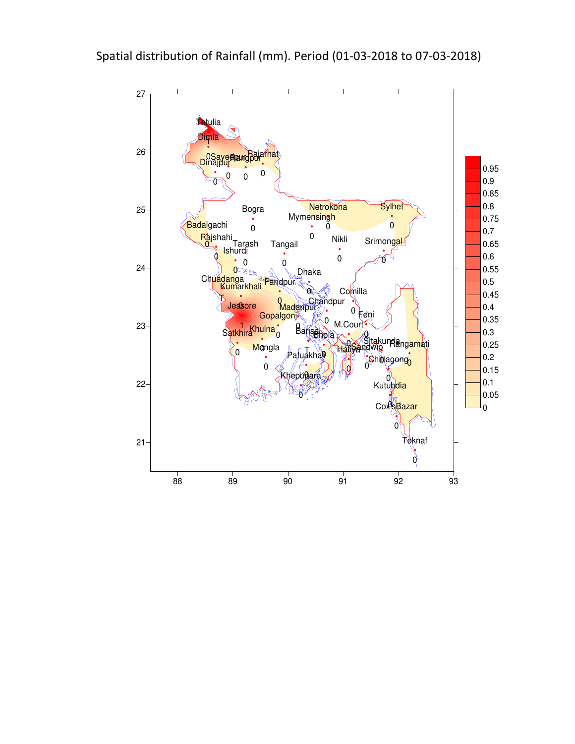

Spatial distribution of Rainfall (mm). Period (01-03-2018 to 07-03-2018)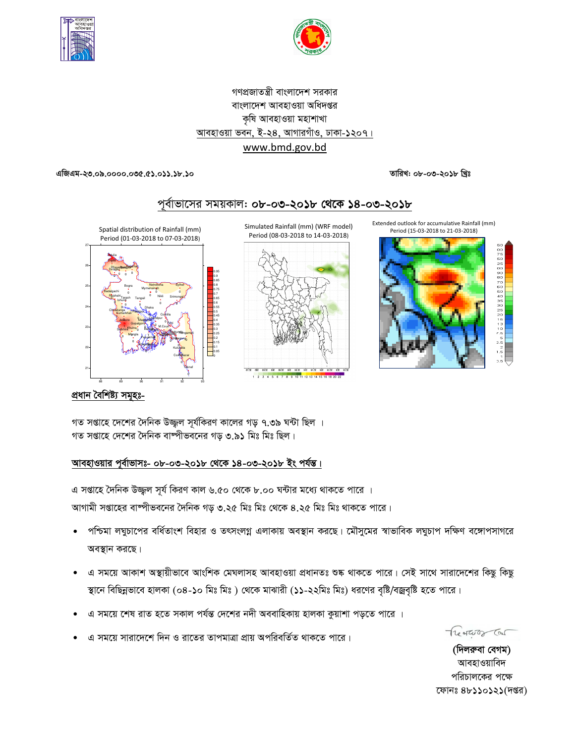



# গণপ্রজাতন্ত্রী বাংলাদেশ সরকার বাংলাদেশ আবহাওয়া অধিদপ্তর কৃষি আবহাওয়া মহাশাখা আবহাওয়া ভবন, ই-২৪, আগারগাঁও, ঢাকা-১২০৭। www.bmd.gov.bd

তারিখ: ০৮-০৩-২০১৮ খ্রিঃ

এজিএম-২৩.০৯.০০০০.০৩৫.৫১.০১১.১৮.১০



1 2 3 4 5 6 7 8 9 10 11 12 13 14 15 16 18 20

প্ৰধান বৈশিষ্ট্য সমূহঃ-

গত সপ্তাহে দেশের দৈনিক উজ্জ্বল সূর্যকিরণ কালের গড় ৭.৩৯ ঘন্টা ছিল । গত সপ্তাহে দেশের দৈনিক বাষ্পীভবনের গড় ৩.৯১ মিঃ মিঃ ছিল।

# আবহাওয়ার পূর্বাভাসঃ- ০৮-০৩-২০১৮ থেকে ১৪-০৩-২০১৮ ইং পর্যন্ত।

এ সপ্তাহে দৈনিক উজ্জ্বল সূর্য কিরণ কাল ৬.৫০ থেকে ৮.০০ ঘন্টার মধ্যে থাকতে পারে । আগামী সপ্তাহের বাষ্পীভবনের দৈনিক গড় ৩.২৫ মিঃ মিঃ থেকে ৪.২৫ মিঃ মিঃ থাকতে পারে।

- পশ্চিমা লঘুচাপের বর্ধিতাংশ বিহার ও তৎসংলগ্ন এলাকায় অবস্থান করছে। মৌসুমের স্বাভাবিক লঘুচাপ দক্ষিণ বঙ্গোপসাগরে অবস্থান করছে।
- এ সময়ে আকাশ অস্থায়ীভাবে আংশিক মেঘলাসহ আবহাওয়া প্রধানতঃ শুষ্ক থাকতে পারে। সেই সাথে সারাদেশের কিছু কিছু স্থানে বিছিন্নভাবে হালকা (০৪-১০ মিঃ মিঃ ) থেকে মাঝারী (১১-২২মিঃ মিঃ) ধরণের বৃষ্টি/বজ্রবৃষ্টি হতে পারে।
- এ সময়ে শেষ রাত হতে সকাল পর্যন্ত দেশের নদী অববাহিকায় হালকা কুয়াশা পড়তে পারে ।
- এ সময়ে সারাদেশে দিন ও রাতের তাপমাত্রা প্রায় অপরিবর্তিত থাকতে পারে।

Treatures Car

(দিলরুবা বেগম) আবহাওয়াবিদ পরিচালকের পক্ষে ফোনঃ ৪৮১১০১২১(দপ্তর)

# পূর্বাভাসের সময়কাল: ০৮-০৩-২০১৮ থেকে ১৪-০৩-২০১৮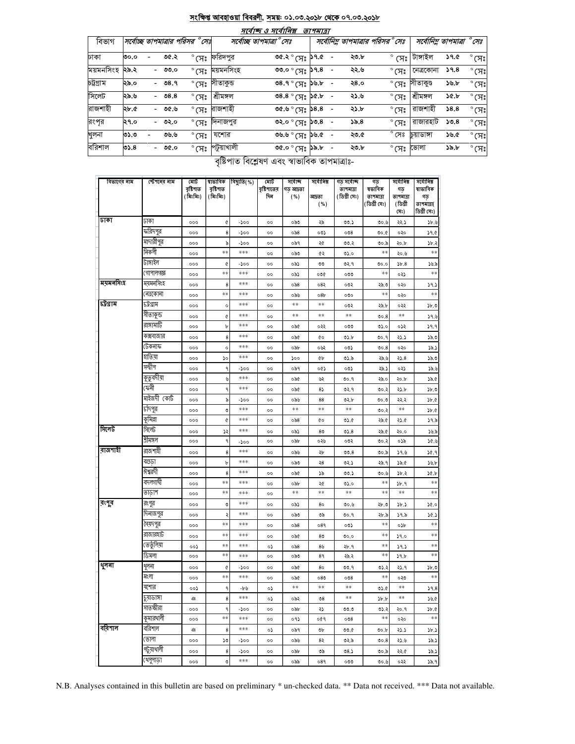# <u>সংক্ষিপ্ত আবহাওয়া বিবরণী, সময়: ০১.০৩.২০১৮ থেকে ০৭.০৩.২০১৮</u>

 $\sim$  ordified argument

|           |       |                           |                |                                        | איווריוני טיאיורי                              | וצוייוש |                          |      |                                        |                        |                         |                          |
|-----------|-------|---------------------------|----------------|----------------------------------------|------------------------------------------------|---------|--------------------------|------|----------------------------------------|------------------------|-------------------------|--------------------------|
| বিভাগ     |       | সর্বোচ্ছ তাপমাত্রার পরিসর | $^\circ$ ମେଃ   |                                        | সৰ্বোচ্ছ তাপমাত্ৰা ° সেঃ                       |         |                          |      | সর্বোনিম তাপমাত্রার পরিসর <i>°</i> সেঃ |                        | সর্বোনিম তাপমাত্রা °সেঃ |                          |
| ঢাকা      | ৩০.০  | ৩৫.২                      | $^\circ$ সেঃ   | ফরিদপুর                                | $0.96$ $\approx$ $\approx$ $\approx$ $\approx$ |         | $\sim 100$               | ২৩.৮ | $^{\circ}$ (সঃ $^{\circ}$              | টাঙ্গাইল               | ১৭.৫                    | $^{\circ}$ (ਸਃ           |
| ময়মনসিংহ | ∣২৯.২ | - ৩৩.০                    | $^\circ$ (ਸਃ   | ময়মনসিংহ                              | <b>ిల.</b> సి.8                                |         |                          | ২২.৬ | $^{\circ}$ (সঃ                         | নেত্ৰকোনা              | 59.8                    | $^{\circ}$ (সঃ           |
| চট্টগ্ৰাম | ২৯.০  | - ৩৪.৭                    |                | $^\circ$ সেঃ সীতাকুভ                   | ৩৪.৭ $^{\circ}$ সেঃ ১৬.৮                       |         | $\overline{\phantom{a}}$ | ২8.० |                                        | $^\circ$ সেঃ সীতাকুণ্ড | ১৬.৮                    | $^{\circ}$ (সঃ           |
| সিলেট     | ২৯.৬  | $-08.8$                   | $^\circ$ (ਸਃ   | শ্ৰীমঙ্গল                              | $0.3^{\circ}$ (H <sub>2</sub> ) $\alpha$ , b   |         |                          | ২১.৬ | $^{\circ}$ (সঃ                         | শ্ৰীমঙ্গল              | $\delta$ .b             | $^{\circ}$ (সঃ           |
| রাজশাহী   | ২৮.৫  | - ৩৫.৬                    |                | ° সেঃ রাজশাহী                          | ৩৫.৬ $^{\circ}$ সেঃ ১৪.৪                       |         |                          | ২১.৮ | $\degree$ C $\mathrm{Hz}$              | রাজশাহী                | 38.8                    | $^{\circ}$ CA $^{\circ}$ |
| রংপূর     | ২৭.০  | - ৩২.০                    | $^{\circ}$ (ਸਃ | াদনাজপুর                               | $\circ$ ి (మి. ) $\circ$ .8                    |         |                          | 55.8 | $\degree$ (X $\degree$                 | রাজারহাট               | 50.8                    | $^{\circ}$ (সঃ           |
| খুলনা     | ৩১.৩  | ৩৬.৬                      | $^{\circ}$ (সঃ | যশোর                                   | ৩৬.৬ ° সেঃ ১৬.৫                                |         |                          | ২৩.৫ | $^{\circ}$ সেঃ                         | চয়াডাঙ্গা             | ১৬.৫                    | $^{\circ}$ (সঃ           |
| বরিশাল    | ৩১.৪  | - ৩৫.০                    | $^{\circ}$ (সঃ | পটুয়াখালী<br>$\overline{\phantom{0}}$ | $\sim$ 6.0 $^{\circ}$ (H) $^{\circ}$ 0.30      |         |                          | ২৩.৮ | °মেঃ ভোলা                              |                        | ১৯.৮                    | $^{\circ}$ (সঃ           |

বৃষ্টিপাত বিশ্লেষণ এবং স্বাভাবিক তাপমাত্ৰাঃ-

| বিভাগের নাম | স্টেশনের নাম | মোট<br>বৃষ্টিপাত<br>(মিঃমিঃ) | বৃষ্টিপাত<br>(মিঃমিঃ) | স্বাভাবিক বিছ্যুতি(%) | মোট<br>বৃষ্টিপাতের<br>দিন | সৰ্বোচ্ছ<br>গড় আদ্রতা<br>( %) | সর্বোনিম্ন<br>আদ্ৰতা<br>( %) | গড় সৰ্বোচ্ছ<br>তাপমাত্রা<br>(ডিগ্ৰী সেঃ) | গড<br>ষভাবিক<br>তাপমাত্রা<br>( ডিগ্ৰী সেঃ) | সৰ্বোনিম্ন<br>গড<br>তাপমাত্রা<br>(ডিগ্ৰী | সৰ্বোলিম্ন<br>ষাভাবিক<br>গড<br>তাপমাত্রা( |
|-------------|--------------|------------------------------|-----------------------|-----------------------|---------------------------|--------------------------------|------------------------------|-------------------------------------------|--------------------------------------------|------------------------------------------|-------------------------------------------|
|             |              |                              |                       |                       |                           |                                |                              |                                           |                                            | (সঃ)                                     | ডিগ্ৰী সেঃ)                               |
| ঢাকা        | ঢাকা         | 000                          | ¢                     | -১০০                  | $^{00}$                   | ಂನಿಲಿ                          | ২৯                           | 00.5                                      | 00.6                                       | ২২.১                                     | ১৮.৬                                      |
|             | ফরিদপুর      | 000                          | 8                     | -১০০                  | oo                        | ০৯৪                            | ০৩১                          | ೦೦8                                       | 0.0                                        | ०२०                                      | 39.0                                      |
|             | মাদারীপুর    | 000                          | ৯                     | -200                  | $^{00}$                   | ০৯৭                            | ২৫                           | 00.3                                      | ৩০.৯                                       | ২০.৮                                     | ১৮.২                                      |
|             | নিকলী        | 000                          | $\ast$                | $***$                 | $^{\circ}$                | ಂನಿಲಿ                          | ৫২                           | 0.0                                       | $\pm\pm$                                   | ২০.৬                                     | $\ast\ast$                                |
|             | টাঙ্গাইল     | 000                          | ¢                     | -200                  | $^{\circ}$                | ০৯১                            | ৩৩                           | ৩২.৭                                      | 0.00                                       | 56.8                                     | ১৬.৯                                      |
|             | গোপালগজ্ঞ    | 000                          | $\ast$                | ***                   | $^{\circ}$                | ০৯১                            | ০৩৫                          | ೲ                                         | $**$                                       | ০২১                                      | **                                        |
| ময়মনসিংহ   | ময়মনসিংহ    | 000                          | 8                     | ***                   | oo                        | $\circ$ ನಿ $8$                 | ০৪২                          | ০৩২                                       | ২৯.৩                                       | ०२०                                      | 39.5                                      |
|             | ৰেত্ৰকোনা    | 000                          | $\ast\ast$            | $***$                 | $^{00}$                   | ০৯৬                            | 08 <sub>b</sub>              | ೲ                                         | $\pm\pm$                                   | ०२०                                      | $\ast\ast$                                |
| চট্টগ্ৰাম   | ঢট্ৰগ্ৰাম    | 000                          | $\circ$               | $***$                 | oo                        | $\ast\ast$                     | $\ast\ast$                   | ০৩২                                       | ২৯.৮                                       | ০২২                                      | ১৮.৩                                      |
|             | সীতাকুন্ড    | 000                          | ¢                     | ***                   | $^{\circ}$                | $\ast\ast$                     | $\ast\ast$                   | $\pm\pm$                                  | 00.8                                       | $**$                                     | 39.6                                      |
|             | রাঙ্গামার্টি | 000                          | ৮                     | ***                   | $^{\circ}$                | ০৯৫                            | ০২২                          | ০৩৩                                       | 0.0                                        | ०५२                                      | 39.9                                      |
|             | কক্সবাজার    | 000                          | 8                     | ***                   | oo                        | ০৯৫                            | ¢о                           | ৩১.৮                                      | ७०.१                                       | ২১.১                                     | ১৯.৩                                      |
|             | টেকনাফ       | 000                          | $\circ$               | ***                   | ٥о                        | ০৯৮                            | ০৬২                          | ০৩১                                       | 00.8                                       | ०२०                                      | ১৯.১                                      |
|             | হাতিয়া      | 000                          | $\mathcal{L}$         | ***                   | oo                        | ১০০                            | ¢Ъ                           | ৩১.৯                                      | ২৯.৬                                       | 35.8                                     | ১৯.৩                                      |
|             | সন্দ্বীপ     | 000                          | ٩                     | -১০০                  | $^{00}$                   | ০৯৭                            | oQ)                          | ০৩১                                       | ২৯.১                                       | ০২১                                      | ১৯.৬                                      |
|             | কুতুবদীয়া   | 000                          | ৬                     | $***$                 | oo                        | ০৯৫                            | ৬২                           | ७०.१                                      | ২৯.০                                       | ২০.৮                                     | ১৯.৫                                      |
|             | ফেনী         | 000                          | ٩                     | ***                   | $^{\circ}$                | ০৯৫                            | 85                           | ৩২.৭                                      | 00.3                                       | ২১.৮                                     | ১৮.৩                                      |
|             | মাইজদী কোর্ট | 000                          | ৯                     | -200                  | $^{\circ}$                | ০৯৬                            | 88                           | ৩২.৮                                      | 0.00                                       | २२.२                                     | 3b.0                                      |
|             | চাঁদপুর      | 000                          | ৩                     | ***                   | oo                        | $\ast$ $\ast$                  | $* *$                        | $* *$                                     | ৩০.২                                       | $\pm\pm$                                 | 3b.6                                      |
|             | কুমিল্লা     | 000                          | ¢                     | ***                   | $^{\circ}$                | ০৯৪                            | ¢о                           | 05.6                                      | ২৯.৫                                       | ২১.৫                                     | 39.5                                      |
| সিলেট       | সিলেট        | 000                          | ډډ                    | ***                   | oo                        | ০৯১                            | 8 <sub>0</sub>               | 0.8                                       | ২৯.৫                                       | ২০.০                                     | ১৬.৯                                      |
|             | শ্ৰীমঙ্গল    | 000                          | ٩                     | -200                  | $^{\circ}$                | ০৯৮                            | ০২৬                          | ০৩২                                       | ৩০.২                                       | ০১৯                                      | 36.9                                      |
| রাজশাহী     | রাজশাহী      | 000                          | 8                     | $***$                 | oo                        | ০৯৬                            | ২৮                           | 00.8                                      | ৩০.৯                                       | ১৭.৬                                     | ১৫.৭                                      |
|             | বগুডা        | 000                          | Ъ                     | ***                   | $^{\circ}$                | ಂನಿಲಿ                          | ২৪                           | ৩২.১                                      | ২৯. ৭                                      | 38.0                                     | $\mathcal{V}$                             |
|             | ঈশ্বরদী      | 000                          | 8                     | ***                   | $^{\circ}$                | ০৯৫                            | ১৯                           | 00.5                                      | 00.6                                       | ১৮.২                                     | 30.5                                      |
|             | বদলগাঘী      | 000                          | $\pm \pm$             | ***                   | oo                        | ০৯৮                            | ২৫                           | 0.0                                       | $\pm\pm$                                   | 3b.9                                     | $\ast\ast$                                |
|             | তাডাশ        | 000                          | $\pm \pm$             | ***                   | $^{\circ}$                | $\pm$ $\pm$                    | $\pm \pm$                    | $* *$                                     | $**$                                       | $\ast$ $\ast$                            | $\pm\pm$                                  |
| রংপুর       | রংপুর        | 000                          | ৩                     | ***                   | oo                        | ০৯১                            | 80                           | ৩০.৬                                      | ২৮.৩                                       | ১৮.১                                     | 30.0                                      |
|             | দিনাজপুর     | 000                          | ٠                     | ***                   | $^{\circ}$                | ಂನಿಲಿ                          | ৩৯                           | ৩০.৭                                      | ২৮.৯                                       | 39.5                                     | 36.5                                      |
|             | সৈয়দপুর     | 000                          | $\ast\ast$            | $***$                 | oo                        | ०৯৪                            | 089                          | ০৩১                                       | $\pm\pm$                                   | ০১৮                                      | **                                        |
|             | রাজারহাট     | 000                          | $\pm \pm$             | ***                   | $^{\circ}$                | ০৯৫                            | 8 <sub>0</sub>               | 0.00                                      | **                                         | 59.0                                     | **                                        |
|             | তেতুঁলিয়া   | ००১                          | $* *$                 | ***                   | ०১                        | ০৯৪                            | 8 <sub>b</sub>               | ২৮.৭                                      | **                                         | 39.5                                     | **                                        |
|             | ডিমলা        | 000                          | $* *$                 | ***                   | ٥о                        | ಂನಿಲಿ                          | 89                           | ২৯.২                                      | $\pm\pm$                                   | 39.5                                     | **                                        |
| থুলনা       | থুলনা        | 000                          | ¢                     | -১০০                  | $^{\circ}$                | ০৯৫                            | 80                           | ৩৩.৭                                      | ৩১.২                                       | ২১.৭                                     | ১৮.৩                                      |
|             | মংলা         | 000                          | $\ast$                | ***                   | oo                        | ০৯৫                            | ০8৩                          | ೦೦8                                       | **                                         | ০২৩                                      | **                                        |
|             | যশোর         | ००১                          | ٩                     | -৮৬                   | ο১                        | $\ast\ast$                     | $\ast\ast$                   | $\ast\ast$                                | 05.0                                       | **                                       | 59.8                                      |
|             | চুয়াডাঙ্গা  | ٩g                           | 8                     | ***                   | ०১                        | ০৯২                            | $\mathcal{S}^{\mathcal{O}}$  | **                                        | $\frac{b}{b}$                              | $\pm \pm$                                | ১৬.৫                                      |
|             | সাতক্ষীরা    | 000                          | ٩                     | -200                  | $^{\circ}$                | ০৯৮                            | ২১                           | ৩৩.৩                                      | ৩১.২                                       | ২০.৭                                     | $\delta$ . d                              |
|             | কুমারখালী    | 000                          | $\ast\ast$            | ***                   | $^{\circ}$                | ०१১                            | ०৫१                          | ೦೦8                                       | $***$                                      | ०२०                                      | $\ast\ast$                                |
| বরিশাল      | বরিশাল       | ঞ                            | 8                     | ***                   | ०১                        | ০৯৭                            | ৩৮                           | 0.00                                      | ৩০.৮                                       | 577                                      | ১৮.১                                      |
|             | ভোলা         | 000                          | ১৩                    | -200                  | $^{\circ}$                | ০৯৬                            | 82                           | ৩২.৯                                      | 00.8                                       | ২১.৬                                     | 797                                       |
|             | পটুয়াথালী   | 000                          | 8                     | -200                  | oo                        | ০৯৮                            | ৩৯                           | ల8.১                                      | ৩০.৯                                       | २२.৫                                     | 797                                       |
|             | খেপুপাড়া    | 000                          | ৩                     | ***                   | $^{\circ}$                | ০৯৯                            | 089                          | ೲ                                         | ৩০.৬                                       | ০২২                                      | 32.9                                      |

N.B. Analyses contained in this bulletin are based on preliminary \* un-checked data. \*\* Data not received. \*\*\* Data not available.